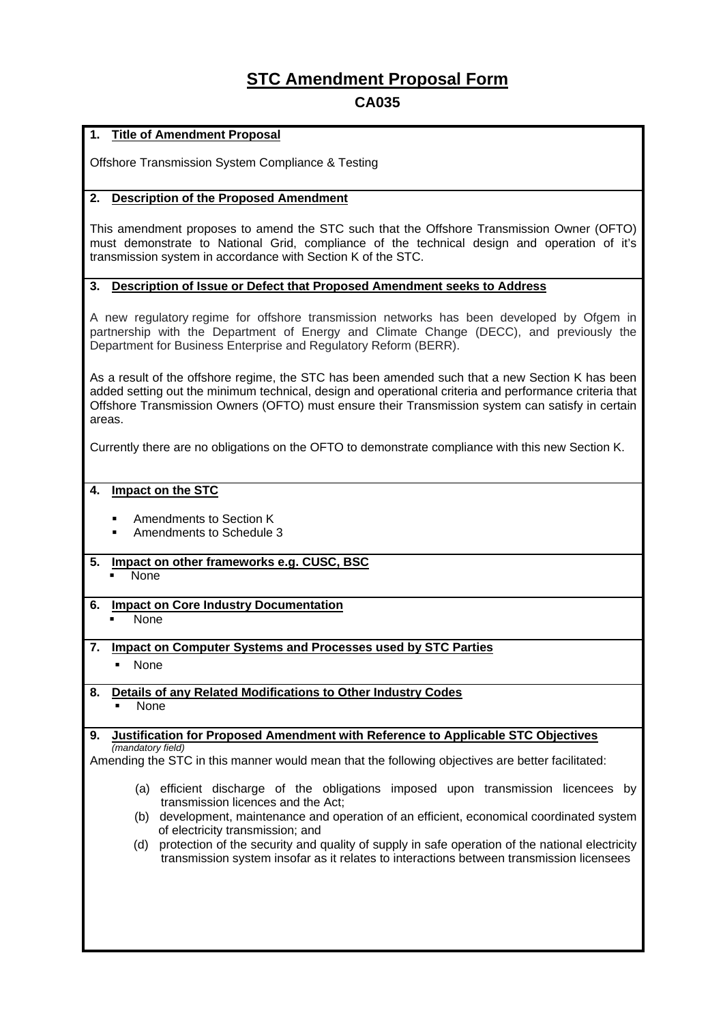# **STC Amendment Proposal Form**

## **CA035**

#### **1. Title of Amendment Proposal**

Offshore Transmission System Compliance & Testing

#### **2. Description of the Proposed Amendment**

This amendment proposes to amend the STC such that the Offshore Transmission Owner (OFTO) must demonstrate to National Grid, compliance of the technical design and operation of it's transmission system in accordance with Section K of the STC.

#### **3. Description of Issue or Defect that Proposed Amendment seeks to Address**

A new regulatory regime for offshore transmission networks has been developed by Ofgem in partnership with the Department of Energy and Climate Change (DECC), and previously the Department for Business Enterprise and Regulatory Reform (BERR).

As a result of the offshore regime, the STC has been amended such that a new Section K has been added setting out the minimum technical, design and operational criteria and performance criteria that Offshore Transmission Owners (OFTO) must ensure their Transmission system can satisfy in certain areas.

Currently there are no obligations on the OFTO to demonstrate compliance with this new Section K.

#### **4. Impact on the STC**

- Amendments to Section K
- Amendments to Schedule 3
- **5. Impact on other frameworks e.g. CUSC, BSC** 
	- None

### **6. Impact on Core Industry Documentation**

None

#### **7. Impact on Computer Systems and Processes used by STC Parties**

- None
- **8. Details of any Related Modifications to Other Industry Codes** None

#### **9. Justification for Proposed Amendment with Reference to Applicable STC Objectives** *(mandatory field)*

Amending the STC in this manner would mean that the following objectives are better facilitated:

- (a) efficient discharge of the obligations imposed upon transmission licencees by transmission licences and the Act;
- (b) development, maintenance and operation of an efficient, economical coordinated system of electricity transmission; and
- (d) protection of the security and quality of supply in safe operation of the national electricity transmission system insofar as it relates to interactions between transmission licensees